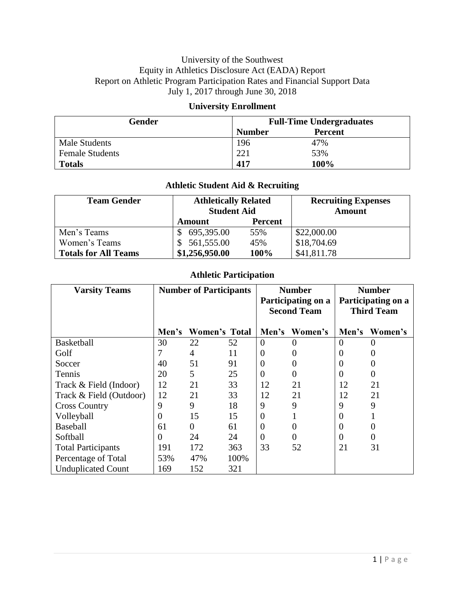#### University of the Southwest Equity in Athletics Disclosure Act (EADA) Report Report on Athletic Program Participation Rates and Financial Support Data July 1, 2017 through June 30, 2018

#### **University Enrollment**

| Gender                 | <b>Full-Time Undergraduates</b> |                |  |
|------------------------|---------------------------------|----------------|--|
|                        | <b>Number</b>                   | <b>Percent</b> |  |
| Male Students          | 196                             | 47%            |  |
| <b>Female Students</b> | 221                             | 53%            |  |
| <b>Totals</b>          | 417                             | 100%           |  |

### **Athletic Student Aid & Recruiting**

| <b>Team Gender</b>          | <b>Athletically Related</b><br><b>Student Aid</b> |                | <b>Recruiting Expenses</b><br><b>Amount</b> |
|-----------------------------|---------------------------------------------------|----------------|---------------------------------------------|
|                             | Amount                                            | <b>Percent</b> |                                             |
| Men's Teams                 | 695,395.00                                        | 55%            | \$22,000.00                                 |
| Women's Teams               | 561,555.00                                        | 45%            | \$18,704.69                                 |
| <b>Totals for All Teams</b> | \$1,256,950.00                                    | 100%           | \$41,811.78                                 |

### **Athletic Participation**

| <b>Varsity Teams</b>      | <b>Number of Participants</b> |               | <b>Number</b>                            |                | <b>Number</b>                           |          |         |
|---------------------------|-------------------------------|---------------|------------------------------------------|----------------|-----------------------------------------|----------|---------|
|                           |                               |               | Participating on a<br><b>Second Team</b> |                | Participating on a<br><b>Third Team</b> |          |         |
|                           | Men's                         | Women's Total |                                          | Men's          | Women's                                 | Men's    | Women's |
| <b>Basketball</b>         | 30                            | 22            | 52                                       | $\overline{0}$ |                                         | $\theta$ |         |
| Golf                      | 7                             | 4             | 11                                       | $\overline{0}$ |                                         | $\theta$ |         |
| Soccer                    | 40                            | 51            | 91                                       | $\overline{0}$ |                                         | $\theta$ |         |
| Tennis                    | 20                            | 5             | 25                                       | $\overline{0}$ |                                         | $\theta$ | 0       |
| Track & Field (Indoor)    | 12                            | 21            | 33                                       | 12             | 21                                      | 12       | 21      |
| Track & Field (Outdoor)   | 12                            | 21            | 33                                       | 12             | 21                                      | 12       | 21      |
| <b>Cross Country</b>      | 9                             | 9             | 18                                       | 9              | 9                                       | 9        | 9       |
| Volleyball                | $\theta$                      | 15            | 15                                       | $\overline{0}$ |                                         | $\theta$ |         |
| <b>Baseball</b>           | 61                            | $\Omega$      | 61                                       | $\overline{0}$ | $\overline{0}$                          | $\theta$ | 0       |
| Softball                  | $\Omega$                      | 24            | 24                                       | $\theta$       | $\theta$                                | $\theta$ | 0       |
| <b>Total Participants</b> | 191                           | 172           | 363                                      | 33             | 52                                      | 21       | 31      |
| Percentage of Total       | 53%                           | 47%           | 100%                                     |                |                                         |          |         |
| <b>Unduplicated Count</b> | 169                           | 152           | 321                                      |                |                                         |          |         |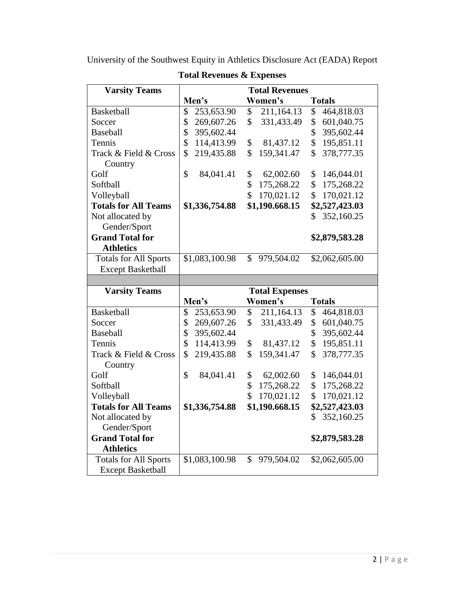| <b>Varsity Teams</b>                                     | <b>Total Revenues</b> |                       |                  |  |  |
|----------------------------------------------------------|-----------------------|-----------------------|------------------|--|--|
|                                                          | Men's                 | Women's               | <b>Totals</b>    |  |  |
| <b>Basketball</b>                                        | 253,653.90<br>\$      | 211,164.13<br>\$      | 464,818.03<br>\$ |  |  |
| Soccer                                                   | \$<br>269,607.26      | \$<br>331,433.49      | \$<br>601,040.75 |  |  |
| Baseball                                                 | \$<br>395,602.44      |                       | \$<br>395,602.44 |  |  |
| Tennis                                                   | \$<br>114,413.99      | \$<br>81,437.12       | \$<br>195,851.11 |  |  |
| Track & Field & Cross                                    | \$<br>219,435.88      | \$<br>159,341.47      | \$<br>378,777.35 |  |  |
| Country                                                  |                       |                       |                  |  |  |
| Golf                                                     | \$<br>84,041.41       | \$<br>62,002.60       | \$<br>146,044.01 |  |  |
| Softball                                                 |                       | \$<br>175,268.22      | \$<br>175,268.22 |  |  |
| Volleyball                                               |                       | \$<br>170,021.12      | \$<br>170,021.12 |  |  |
| <b>Totals for All Teams</b>                              | \$1,336,754.88        | \$1,190.668.15        | \$2,527,423.03   |  |  |
| Not allocated by                                         |                       |                       | 352,160.25<br>\$ |  |  |
| Gender/Sport                                             |                       |                       |                  |  |  |
| <b>Grand Total for</b>                                   |                       |                       | \$2,879,583.28   |  |  |
| <b>Athletics</b>                                         |                       |                       |                  |  |  |
| <b>Totals for All Sports</b>                             | \$1,083,100.98        | \$<br>979,504.02      | \$2,062,605.00   |  |  |
| <b>Except Basketball</b>                                 |                       |                       |                  |  |  |
|                                                          |                       |                       |                  |  |  |
|                                                          |                       |                       |                  |  |  |
| <b>Varsity Teams</b>                                     |                       | <b>Total Expenses</b> |                  |  |  |
|                                                          | Men's                 | Women's               | <b>Totals</b>    |  |  |
| <b>Basketball</b>                                        | \$<br>253,653.90      | \$<br>211,164.13      | \$<br>464,818.03 |  |  |
| Soccer                                                   | \$<br>269,607.26      | \$<br>331,433.49      | \$<br>601,040.75 |  |  |
| <b>Baseball</b>                                          | \$<br>395,602.44      |                       | \$<br>395,602.44 |  |  |
| Tennis                                                   | \$<br>114,413.99      | \$<br>81,437.12       | \$<br>195,851.11 |  |  |
| Track & Field & Cross                                    | \$<br>219,435.88      | \$<br>159,341.47      | \$<br>378,777.35 |  |  |
| Country                                                  |                       |                       |                  |  |  |
| Golf                                                     | \$<br>84,041.41       | \$<br>62,002.60       | 146,044.01<br>\$ |  |  |
| Softball                                                 |                       | \$<br>175,268.22      | \$<br>175,268.22 |  |  |
| Volleyball                                               |                       | \$<br>170,021.12      | \$<br>170,021.12 |  |  |
| <b>Totals for All Teams</b>                              | \$1,336,754.88        | \$1,190.668.15        | \$2,527,423.03   |  |  |
| Not allocated by                                         |                       |                       | 352,160.25<br>\$ |  |  |
| Gender/Sport                                             |                       |                       |                  |  |  |
| <b>Grand Total for</b>                                   |                       |                       | \$2,879,583.28   |  |  |
| <b>Athletics</b>                                         |                       |                       |                  |  |  |
| <b>Totals for All Sports</b><br><b>Except Basketball</b> | \$1,083,100.98        | \$<br>979,504.02      | \$2,062,605.00   |  |  |

**Total Revenues & Expenses**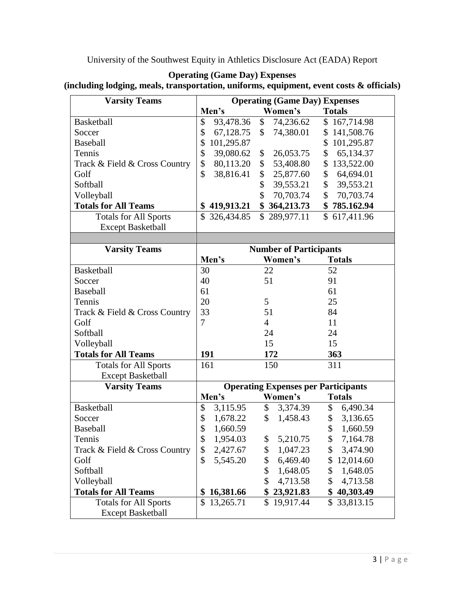| <b>Varsity Teams</b>                                        | <b>Operating (Game Day) Expenses</b> |                                            |                           |  |
|-------------------------------------------------------------|--------------------------------------|--------------------------------------------|---------------------------|--|
|                                                             | Men's                                | Women's                                    | <b>Totals</b>             |  |
| Basketball                                                  | 93,478.36<br>\$                      | \$<br>74,236.62                            | \$167,714.98              |  |
| Soccer                                                      | \$<br>67,128.75                      | \$74,380.01                                | \$141,508.76              |  |
| Baseball                                                    | \$<br>101,295.87                     |                                            | \$101,295.87              |  |
| Tennis                                                      | \$<br>39,080.62                      | 26,053.75<br>\$                            | 65,134.37<br>$\mathbb{S}$ |  |
| Track & Field & Cross Country                               | \$<br>80,113.20                      | \$53,408.80                                | \$133,522.00              |  |
| Golf                                                        | \$<br>38,816.41                      | \$<br>25,877.60                            | \$64,694.01               |  |
| Softball                                                    |                                      | \$<br>39,553.21                            | \$39,553.21               |  |
| Volleyball                                                  |                                      | \$<br>70,703.74                            | \$70,703.74               |  |
| <b>Totals for All Teams</b>                                 | \$419,913.21                         | \$364,213.73                               | \$785.162.94              |  |
| <b>Totals for All Sports</b>                                | \$326,434.85                         | \$289,977.11                               | \$617,411.96              |  |
|                                                             |                                      |                                            |                           |  |
| <b>Except Basketball</b>                                    |                                      |                                            |                           |  |
| <b>Varsity Teams</b>                                        |                                      | <b>Number of Participants</b>              |                           |  |
|                                                             | Men's                                | Women's                                    | <b>Totals</b>             |  |
| Basketball                                                  | 30                                   | 22                                         | 52                        |  |
| Soccer                                                      | 40                                   | 51                                         | 91                        |  |
| Baseball                                                    | 61                                   |                                            | 61                        |  |
| Tennis                                                      | 20                                   | 5                                          | 25                        |  |
|                                                             | 33                                   | 51                                         | 84                        |  |
| Track & Field & Cross Country<br>Golf                       | 7                                    | $\overline{4}$                             | 11                        |  |
| Softball                                                    |                                      | 24                                         | 24                        |  |
|                                                             |                                      | 15                                         | 15                        |  |
| Volleyball                                                  | 191                                  | 172                                        |                           |  |
| <b>Totals for All Teams</b><br><b>Totals for All Sports</b> | 161                                  | 150                                        | 363<br>311                |  |
| <b>Except Basketball</b>                                    |                                      |                                            |                           |  |
| <b>Varsity Teams</b>                                        |                                      | <b>Operating Expenses per Participants</b> |                           |  |
|                                                             | Men's                                | Women's                                    | <b>Totals</b>             |  |
| Basketball                                                  | \$<br>3,115.95                       | \$3,374.39                                 | \$6,490.34                |  |
| Soccer                                                      | \$<br>1,678.22                       | $\mathbb{S}^-$<br>1,458.43                 | \$3,136.65                |  |
| <b>Baseball</b>                                             | \$<br>1,660.59                       |                                            | \$1,660.59                |  |
| Tennis                                                      | \$<br>1,954.03                       | 5,210.75                                   | 7,164.78<br>\$            |  |
| Track & Field & Cross Country                               | \$<br>2,427.67                       | \$<br>1,047.23<br>\$                       | \$<br>3,474.90            |  |
| Golf                                                        | \$<br>5,545.20                       | 6,469.40<br>\$                             | 12,014.60<br>\$           |  |
| Softball                                                    |                                      | \$<br>1,648.05                             | \$<br>1,648.05            |  |
| Volleyball                                                  |                                      | \$<br>4,713.58                             | \$                        |  |
| <b>Totals for All Teams</b>                                 | \$                                   | \$23,921.83                                | 4,713.58<br>\$40,303.49   |  |
|                                                             | 16,381.66                            | $\mathbb{S}$                               |                           |  |
| <b>Totals for All Sports</b>                                | 13,265.71<br>\$                      | 19,917.44                                  | 33,813.15<br>\$           |  |
| <b>Except Basketball</b>                                    |                                      |                                            |                           |  |

#### **Operating (Game Day) Expenses (including lodging, meals, transportation, uniforms, equipment, event costs & officials)**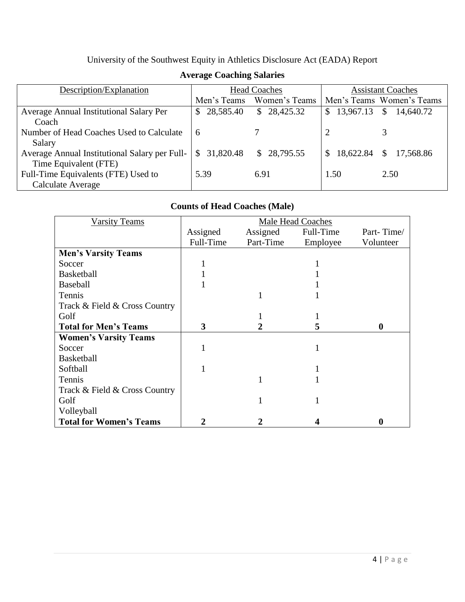| Description/Explanation                       | <b>Head Coaches</b> |               | <b>Assistant Coaches</b>  |                            |
|-----------------------------------------------|---------------------|---------------|---------------------------|----------------------------|
|                                               | Men's Teams         | Women's Teams |                           | Men's Teams Women's Teams  |
| Average Annual Institutional Salary Per       | 28,585.40<br>S.     | \$28,425.32   | \$13,967.13               | $\mathcal{S}$<br>14,640.72 |
| Coach                                         |                     |               |                           |                            |
| Number of Head Coaches Used to Calculate      | -6                  |               |                           |                            |
| Salary                                        |                     |               |                           |                            |
| Average Annual Institutional Salary per Full- | S.<br>31,820.48     | \$28,795.55   | 18,622.84<br><sup>S</sup> | \$17,568.86                |
| Time Equivalent (FTE)                         |                     |               |                           |                            |
| Full-Time Equivalents (FTE) Used to           | 5.39                | 6.91          | 1.50                      | 2.50                       |
| Calculate Average                             |                     |               |                           |                            |

### **Average Coaching Salaries**

## **Counts of Head Coaches (Male)**

| <b>Varsity Teams</b>           | <b>Male Head Coaches</b> |           |           |           |
|--------------------------------|--------------------------|-----------|-----------|-----------|
|                                | Assigned                 | Assigned  | Full-Time | Part-Time |
|                                | Full-Time                | Part-Time | Employee  | Volunteer |
| <b>Men's Varsity Teams</b>     |                          |           |           |           |
| Soccer                         |                          |           |           |           |
| <b>Basketball</b>              |                          |           |           |           |
| <b>Baseball</b>                |                          |           |           |           |
| Tennis                         |                          |           |           |           |
| Track & Field & Cross Country  |                          |           |           |           |
| Golf                           |                          |           |           |           |
| <b>Total for Men's Teams</b>   | 3                        |           | 5         | $\bf{0}$  |
| <b>Women's Varsity Teams</b>   |                          |           |           |           |
| Soccer                         |                          |           |           |           |
| <b>Basketball</b>              |                          |           |           |           |
| Softball                       |                          |           |           |           |
| Tennis                         |                          |           |           |           |
| Track & Field & Cross Country  |                          |           |           |           |
| Golf                           |                          |           |           |           |
| Volleyball                     |                          |           |           |           |
| <b>Total for Women's Teams</b> |                          |           |           | $\bf{0}$  |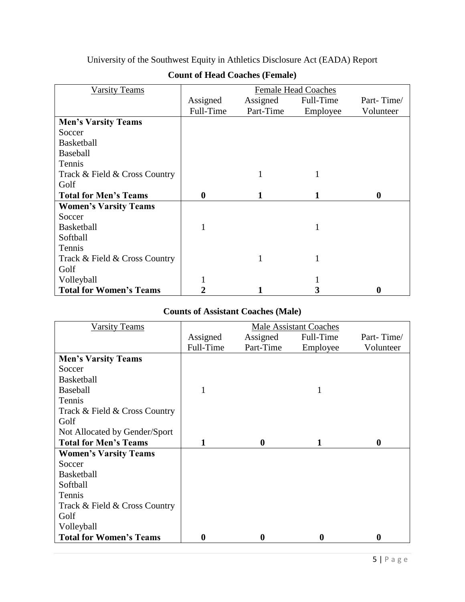| <b>Varsity Teams</b>           | <b>Female Head Coaches</b> |           |           |                  |
|--------------------------------|----------------------------|-----------|-----------|------------------|
|                                | Assigned                   | Assigned  | Full-Time | Part-Time/       |
|                                | Full-Time                  | Part-Time | Employee  | Volunteer        |
| <b>Men's Varsity Teams</b>     |                            |           |           |                  |
| Soccer                         |                            |           |           |                  |
| <b>Basketball</b>              |                            |           |           |                  |
| <b>Baseball</b>                |                            |           |           |                  |
| Tennis                         |                            |           |           |                  |
| Track & Field & Cross Country  |                            |           |           |                  |
| Golf                           |                            |           |           |                  |
| <b>Total for Men's Teams</b>   | $\boldsymbol{0}$           |           |           | $\boldsymbol{0}$ |
| <b>Women's Varsity Teams</b>   |                            |           |           |                  |
| Soccer                         |                            |           |           |                  |
| <b>Basketball</b>              |                            |           |           |                  |
| Softball                       |                            |           |           |                  |
| Tennis                         |                            |           |           |                  |
| Track & Field & Cross Country  |                            |           |           |                  |
| Golf                           |                            |           |           |                  |
| Volleyball                     |                            |           |           |                  |
| <b>Total for Women's Teams</b> |                            |           |           | 0                |

## **Count of Head Coaches (Female)**

# **Counts of Assistant Coaches (Male)**

| <b>Varsity Teams</b>           | <b>Male Assistant Coaches</b> |                  |           |                  |
|--------------------------------|-------------------------------|------------------|-----------|------------------|
|                                | Assigned                      | Assigned         | Full-Time | Part-Time/       |
|                                | Full-Time                     | Part-Time        | Employee  | Volunteer        |
| <b>Men's Varsity Teams</b>     |                               |                  |           |                  |
| Soccer                         |                               |                  |           |                  |
| <b>Basketball</b>              |                               |                  |           |                  |
| <b>Baseball</b>                |                               |                  |           |                  |
| Tennis                         |                               |                  |           |                  |
| Track & Field & Cross Country  |                               |                  |           |                  |
| Golf                           |                               |                  |           |                  |
| Not Allocated by Gender/Sport  |                               |                  |           |                  |
| <b>Total for Men's Teams</b>   | 1                             | $\mathbf{0}$     |           | $\boldsymbol{0}$ |
| <b>Women's Varsity Teams</b>   |                               |                  |           |                  |
| Soccer                         |                               |                  |           |                  |
| <b>Basketball</b>              |                               |                  |           |                  |
| Softball                       |                               |                  |           |                  |
| Tennis                         |                               |                  |           |                  |
| Track & Field & Cross Country  |                               |                  |           |                  |
| Golf                           |                               |                  |           |                  |
| Volleyball                     |                               |                  |           |                  |
| <b>Total for Women's Teams</b> | $\boldsymbol{0}$              | $\boldsymbol{0}$ | $\bf{0}$  | $\boldsymbol{0}$ |